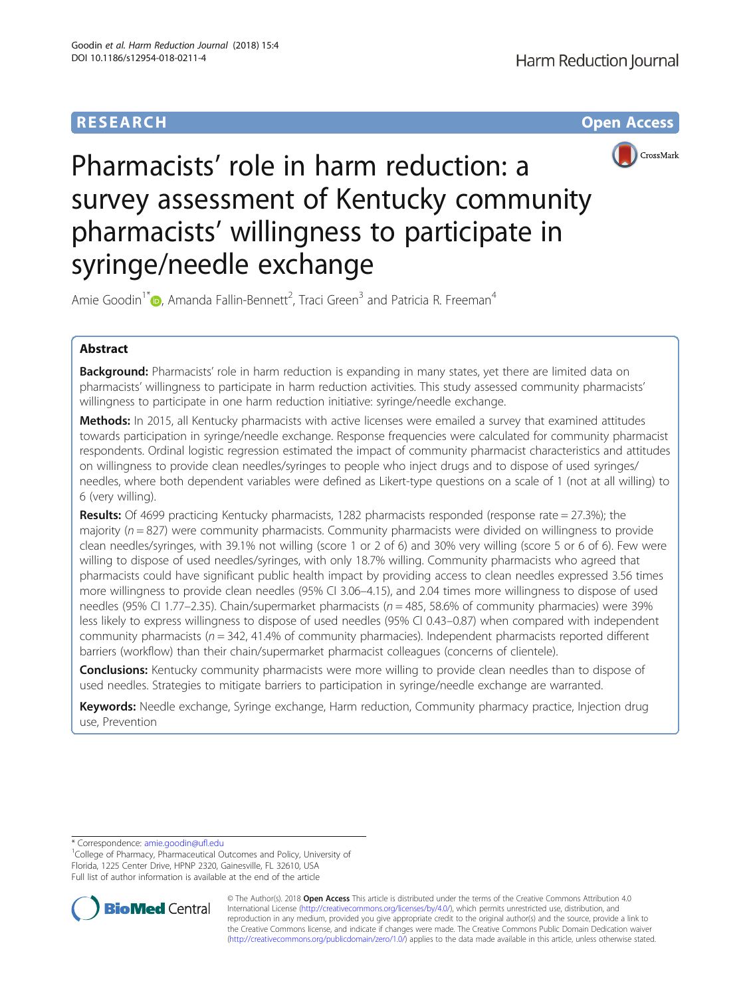## **RESEARCH CHE Open Access**



# Pharmacists' role in harm reduction: a survey assessment of Kentucky community pharmacists' willingness to participate in syringe/needle exchange

Amie Goodin<sup>1[\\*](http://orcid.org/0000-0002-0020-8720)</sup> D, Amanda Fallin-Bennett<sup>2</sup>, Traci Green<sup>3</sup> and Patricia R. Freeman<sup>4</sup>

## Abstract

Background: Pharmacists' role in harm reduction is expanding in many states, yet there are limited data on pharmacists' willingness to participate in harm reduction activities. This study assessed community pharmacists' willingness to participate in one harm reduction initiative: syringe/needle exchange.

Methods: In 2015, all Kentucky pharmacists with active licenses were emailed a survey that examined attitudes towards participation in syringe/needle exchange. Response frequencies were calculated for community pharmacist respondents. Ordinal logistic regression estimated the impact of community pharmacist characteristics and attitudes on willingness to provide clean needles/syringes to people who inject drugs and to dispose of used syringes/ needles, where both dependent variables were defined as Likert-type questions on a scale of 1 (not at all willing) to 6 (very willing).

**Results:** Of 4699 practicing Kentucky pharmacists, 1282 pharmacists responded (response rate = 27.3%); the majority ( $n = 827$ ) were community pharmacists. Community pharmacists were divided on willingness to provide clean needles/syringes, with 39.1% not willing (score 1 or 2 of 6) and 30% very willing (score 5 or 6 of 6). Few were willing to dispose of used needles/syringes, with only 18.7% willing. Community pharmacists who agreed that pharmacists could have significant public health impact by providing access to clean needles expressed 3.56 times more willingness to provide clean needles (95% CI 3.06–4.15), and 2.04 times more willingness to dispose of used needles (95% CI 1.77–2.35). Chain/supermarket pharmacists (n = 485, 58.6% of community pharmacies) were 39% less likely to express willingness to dispose of used needles (95% CI 0.43–0.87) when compared with independent community pharmacists ( $n = 342$ , 41.4% of community pharmacies). Independent pharmacists reported different barriers (workflow) than their chain/supermarket pharmacist colleagues (concerns of clientele).

**Conclusions:** Kentucky community pharmacists were more willing to provide clean needles than to dispose of used needles. Strategies to mitigate barriers to participation in syringe/needle exchange are warranted.

Keywords: Needle exchange, Syringe exchange, Harm reduction, Community pharmacy practice, Injection drug use, Prevention

\* Correspondence: [amie.goodin@ufl.edu](mailto:amie.goodin@ufl.edu) <sup>1</sup>

<sup>&</sup>lt;sup>1</sup>College of Pharmacy, Pharmaceutical Outcomes and Policy, University of Florida, 1225 Center Drive, HPNP 2320, Gainesville, FL 32610, USA Full list of author information is available at the end of the article



© The Author(s). 2018 Open Access This article is distributed under the terms of the Creative Commons Attribution 4.0 International License [\(http://creativecommons.org/licenses/by/4.0/](http://creativecommons.org/licenses/by/4.0/)), which permits unrestricted use, distribution, and reproduction in any medium, provided you give appropriate credit to the original author(s) and the source, provide a link to the Creative Commons license, and indicate if changes were made. The Creative Commons Public Domain Dedication waiver [\(http://creativecommons.org/publicdomain/zero/1.0/](http://creativecommons.org/publicdomain/zero/1.0/)) applies to the data made available in this article, unless otherwise stated.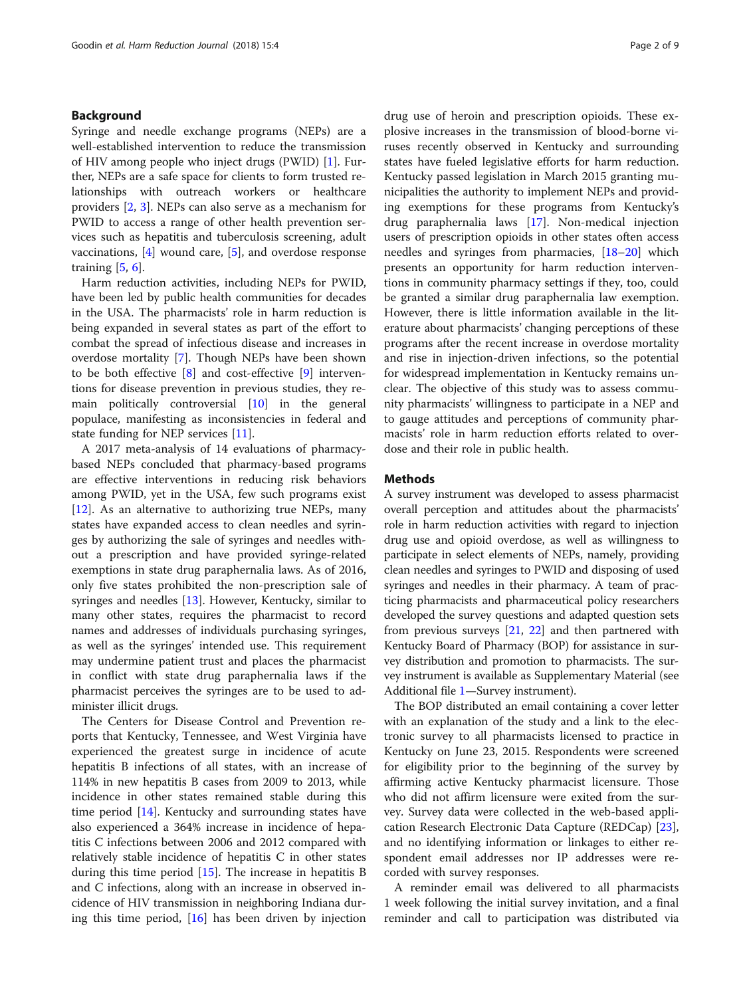#### Background

Syringe and needle exchange programs (NEPs) are a well-established intervention to reduce the transmission of HIV among people who inject drugs (PWID) [[1\]](#page-8-0). Further, NEPs are a safe space for clients to form trusted relationships with outreach workers or healthcare providers [\[2](#page-8-0), [3](#page-8-0)]. NEPs can also serve as a mechanism for PWID to access a range of other health prevention services such as hepatitis and tuberculosis screening, adult vaccinations, [[4](#page-8-0)] wound care, [[5](#page-8-0)], and overdose response training  $[5, 6]$  $[5, 6]$  $[5, 6]$  $[5, 6]$ .

Harm reduction activities, including NEPs for PWID, have been led by public health communities for decades in the USA. The pharmacists' role in harm reduction is being expanded in several states as part of the effort to combat the spread of infectious disease and increases in overdose mortality [\[7](#page-8-0)]. Though NEPs have been shown to be both effective [[8\]](#page-8-0) and cost-effective [[9\]](#page-8-0) interventions for disease prevention in previous studies, they remain politically controversial [[10\]](#page-8-0) in the general populace, manifesting as inconsistencies in federal and state funding for NEP services [[11\]](#page-8-0).

A 2017 meta-analysis of 14 evaluations of pharmacybased NEPs concluded that pharmacy-based programs are effective interventions in reducing risk behaviors among PWID, yet in the USA, few such programs exist [[12\]](#page-8-0). As an alternative to authorizing true NEPs, many states have expanded access to clean needles and syringes by authorizing the sale of syringes and needles without a prescription and have provided syringe-related exemptions in state drug paraphernalia laws. As of 2016, only five states prohibited the non-prescription sale of syringes and needles [[13](#page-8-0)]. However, Kentucky, similar to many other states, requires the pharmacist to record names and addresses of individuals purchasing syringes, as well as the syringes' intended use. This requirement may undermine patient trust and places the pharmacist in conflict with state drug paraphernalia laws if the pharmacist perceives the syringes are to be used to administer illicit drugs.

The Centers for Disease Control and Prevention reports that Kentucky, Tennessee, and West Virginia have experienced the greatest surge in incidence of acute hepatitis B infections of all states, with an increase of 114% in new hepatitis B cases from 2009 to 2013, while incidence in other states remained stable during this time period [[14\]](#page-8-0). Kentucky and surrounding states have also experienced a 364% increase in incidence of hepatitis C infections between 2006 and 2012 compared with relatively stable incidence of hepatitis C in other states during this time period [\[15\]](#page-8-0). The increase in hepatitis B and C infections, along with an increase in observed incidence of HIV transmission in neighboring Indiana during this time period, [[16\]](#page-8-0) has been driven by injection drug use of heroin and prescription opioids. These explosive increases in the transmission of blood-borne viruses recently observed in Kentucky and surrounding states have fueled legislative efforts for harm reduction. Kentucky passed legislation in March 2015 granting municipalities the authority to implement NEPs and providing exemptions for these programs from Kentucky's drug paraphernalia laws [[17\]](#page-8-0). Non-medical injection users of prescription opioids in other states often access needles and syringes from pharmacies, [\[18](#page-8-0)–[20\]](#page-8-0) which presents an opportunity for harm reduction interventions in community pharmacy settings if they, too, could be granted a similar drug paraphernalia law exemption. However, there is little information available in the literature about pharmacists' changing perceptions of these programs after the recent increase in overdose mortality and rise in injection-driven infections, so the potential for widespread implementation in Kentucky remains unclear. The objective of this study was to assess community pharmacists' willingness to participate in a NEP and to gauge attitudes and perceptions of community pharmacists' role in harm reduction efforts related to overdose and their role in public health.

#### Methods

A survey instrument was developed to assess pharmacist overall perception and attitudes about the pharmacists' role in harm reduction activities with regard to injection drug use and opioid overdose, as well as willingness to participate in select elements of NEPs, namely, providing clean needles and syringes to PWID and disposing of used syringes and needles in their pharmacy. A team of practicing pharmacists and pharmaceutical policy researchers developed the survey questions and adapted question sets from previous surveys [[21](#page-8-0), [22](#page-8-0)] and then partnered with Kentucky Board of Pharmacy (BOP) for assistance in survey distribution and promotion to pharmacists. The survey instrument is available as Supplementary Material (see Additional file [1](#page-7-0)—Survey instrument).

The BOP distributed an email containing a cover letter with an explanation of the study and a link to the electronic survey to all pharmacists licensed to practice in Kentucky on June 23, 2015. Respondents were screened for eligibility prior to the beginning of the survey by affirming active Kentucky pharmacist licensure. Those who did not affirm licensure were exited from the survey. Survey data were collected in the web-based application Research Electronic Data Capture (REDCap) [\[23](#page-8-0)], and no identifying information or linkages to either respondent email addresses nor IP addresses were recorded with survey responses.

A reminder email was delivered to all pharmacists 1 week following the initial survey invitation, and a final reminder and call to participation was distributed via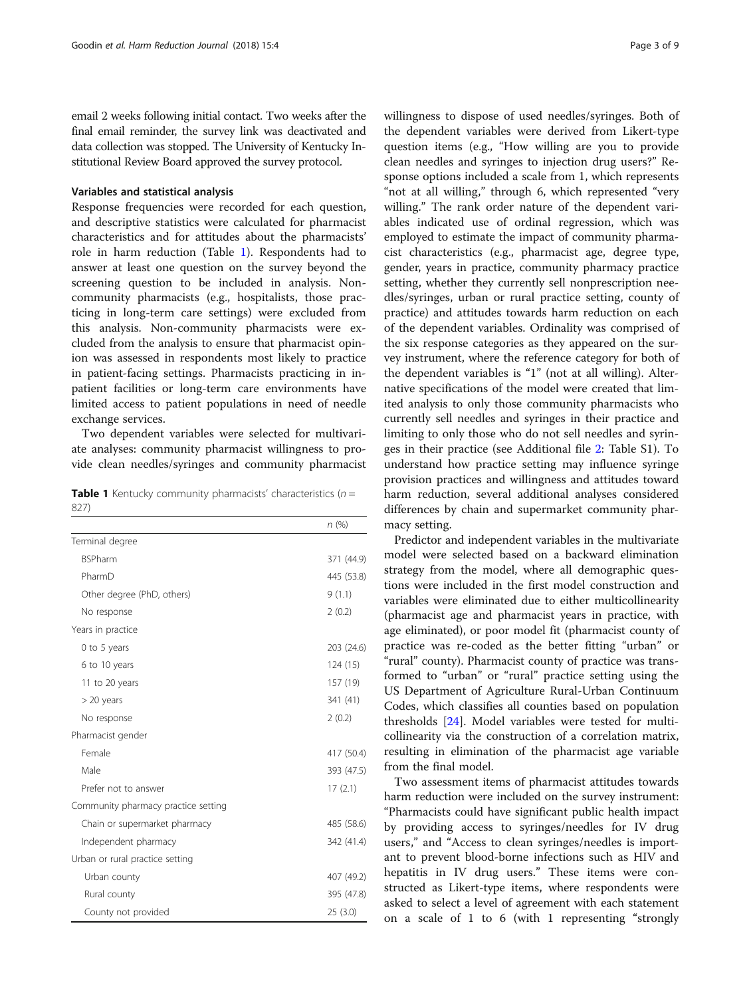email 2 weeks following initial contact. Two weeks after the final email reminder, the survey link was deactivated and data collection was stopped. The University of Kentucky Institutional Review Board approved the survey protocol.

#### Variables and statistical analysis

Response frequencies were recorded for each question, and descriptive statistics were calculated for pharmacist characteristics and for attitudes about the pharmacists' role in harm reduction (Table 1). Respondents had to answer at least one question on the survey beyond the screening question to be included in analysis. Noncommunity pharmacists (e.g., hospitalists, those practicing in long-term care settings) were excluded from this analysis. Non-community pharmacists were excluded from the analysis to ensure that pharmacist opinion was assessed in respondents most likely to practice in patient-facing settings. Pharmacists practicing in inpatient facilities or long-term care environments have limited access to patient populations in need of needle exchange services.

Two dependent variables were selected for multivariate analyses: community pharmacist willingness to provide clean needles/syringes and community pharmacist

**Table 1** Kentucky community pharmacists' characteristics  $(n =$ 827)

|                                     | n(%)       |
|-------------------------------------|------------|
| Terminal degree                     |            |
| <b>BSPharm</b>                      | 371 (44.9) |
| PharmD                              | 445 (53.8) |
| Other degree (PhD, others)          | 9(1.1)     |
| No response                         | 2(0.2)     |
| Years in practice                   |            |
| 0 to 5 years                        | 203 (24.6) |
| 6 to 10 years                       | 124(15)    |
| 11 to 20 years                      | 157 (19)   |
| $> 20$ years                        | 341 (41)   |
| No response                         | 2(0.2)     |
| Pharmacist gender                   |            |
| Female                              | 417 (50.4) |
| Male                                | 393 (47.5) |
| Prefer not to answer                | 17(2.1)    |
| Community pharmacy practice setting |            |
| Chain or supermarket pharmacy       | 485 (58.6) |
| Independent pharmacy                | 342 (41.4) |
| Urban or rural practice setting     |            |
| Urban county                        | 407 (49.2) |
| Rural county                        | 395 (47.8) |
| County not provided                 | 25(3.0)    |

willingness to dispose of used needles/syringes. Both of the dependent variables were derived from Likert-type question items (e.g., "How willing are you to provide clean needles and syringes to injection drug users?" Response options included a scale from 1, which represents "not at all willing," through 6, which represented "very willing." The rank order nature of the dependent variables indicated use of ordinal regression, which was employed to estimate the impact of community pharmacist characteristics (e.g., pharmacist age, degree type, gender, years in practice, community pharmacy practice setting, whether they currently sell nonprescription needles/syringes, urban or rural practice setting, county of practice) and attitudes towards harm reduction on each of the dependent variables. Ordinality was comprised of the six response categories as they appeared on the survey instrument, where the reference category for both of the dependent variables is "1" (not at all willing). Alternative specifications of the model were created that limited analysis to only those community pharmacists who currently sell needles and syringes in their practice and limiting to only those who do not sell needles and syringes in their practice (see Additional file [2](#page-7-0): Table S1). To understand how practice setting may influence syringe provision practices and willingness and attitudes toward harm reduction, several additional analyses considered differences by chain and supermarket community pharmacy setting.

Predictor and independent variables in the multivariate model were selected based on a backward elimination strategy from the model, where all demographic questions were included in the first model construction and variables were eliminated due to either multicollinearity (pharmacist age and pharmacist years in practice, with age eliminated), or poor model fit (pharmacist county of practice was re-coded as the better fitting "urban" or "rural" county). Pharmacist county of practice was transformed to "urban" or "rural" practice setting using the US Department of Agriculture Rural-Urban Continuum Codes, which classifies all counties based on population thresholds [[24](#page-8-0)]. Model variables were tested for multicollinearity via the construction of a correlation matrix, resulting in elimination of the pharmacist age variable from the final model.

Two assessment items of pharmacist attitudes towards harm reduction were included on the survey instrument: "Pharmacists could have significant public health impact by providing access to syringes/needles for IV drug users," and "Access to clean syringes/needles is important to prevent blood-borne infections such as HIV and hepatitis in IV drug users." These items were constructed as Likert-type items, where respondents were asked to select a level of agreement with each statement on a scale of 1 to 6 (with 1 representing "strongly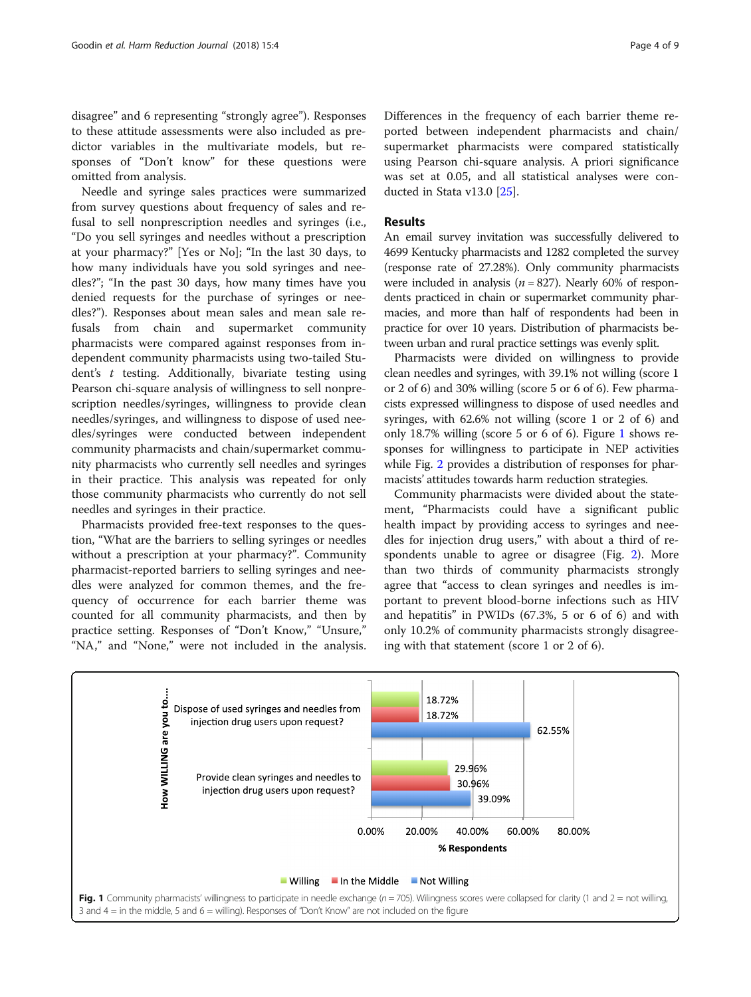disagree" and 6 representing "strongly agree"). Responses to these attitude assessments were also included as predictor variables in the multivariate models, but responses of "Don't know" for these questions were omitted from analysis.

Needle and syringe sales practices were summarized from survey questions about frequency of sales and refusal to sell nonprescription needles and syringes (i.e., "Do you sell syringes and needles without a prescription at your pharmacy?" [Yes or No]; "In the last 30 days, to how many individuals have you sold syringes and needles?"; "In the past 30 days, how many times have you denied requests for the purchase of syringes or needles?"). Responses about mean sales and mean sale refusals from chain and supermarket community pharmacists were compared against responses from independent community pharmacists using two-tailed Student's  $t$  testing. Additionally, bivariate testing using Pearson chi-square analysis of willingness to sell nonprescription needles/syringes, willingness to provide clean needles/syringes, and willingness to dispose of used needles/syringes were conducted between independent community pharmacists and chain/supermarket community pharmacists who currently sell needles and syringes in their practice. This analysis was repeated for only those community pharmacists who currently do not sell needles and syringes in their practice.

Pharmacists provided free-text responses to the question, "What are the barriers to selling syringes or needles without a prescription at your pharmacy?". Community pharmacist-reported barriers to selling syringes and needles were analyzed for common themes, and the frequency of occurrence for each barrier theme was counted for all community pharmacists, and then by practice setting. Responses of "Don't Know," "Unsure," "NA," and "None," were not included in the analysis.

Differences in the frequency of each barrier theme reported between independent pharmacists and chain/ supermarket pharmacists were compared statistically using Pearson chi-square analysis. A priori significance was set at 0.05, and all statistical analyses were conducted in Stata v13.0 [[25\]](#page-8-0).

#### Results

An email survey invitation was successfully delivered to 4699 Kentucky pharmacists and 1282 completed the survey (response rate of 27.28%). Only community pharmacists were included in analysis ( $n = 827$ ). Nearly 60% of respondents practiced in chain or supermarket community pharmacies, and more than half of respondents had been in practice for over 10 years. Distribution of pharmacists between urban and rural practice settings was evenly split.

Pharmacists were divided on willingness to provide clean needles and syringes, with 39.1% not willing (score 1 or 2 of 6) and 30% willing (score 5 or 6 of 6). Few pharmacists expressed willingness to dispose of used needles and syringes, with 62.6% not willing (score 1 or 2 of 6) and only 18.7% willing (score 5 or 6 of 6). Figure 1 shows responses for willingness to participate in NEP activities while Fig. [2](#page-4-0) provides a distribution of responses for pharmacists' attitudes towards harm reduction strategies.

Community pharmacists were divided about the statement, "Pharmacists could have a significant public health impact by providing access to syringes and needles for injection drug users," with about a third of respondents unable to agree or disagree (Fig. [2\)](#page-4-0). More than two thirds of community pharmacists strongly agree that "access to clean syringes and needles is important to prevent blood-borne infections such as HIV and hepatitis" in PWIDs (67.3%, 5 or 6 of 6) and with only 10.2% of community pharmacists strongly disagreeing with that statement (score 1 or 2 of 6).

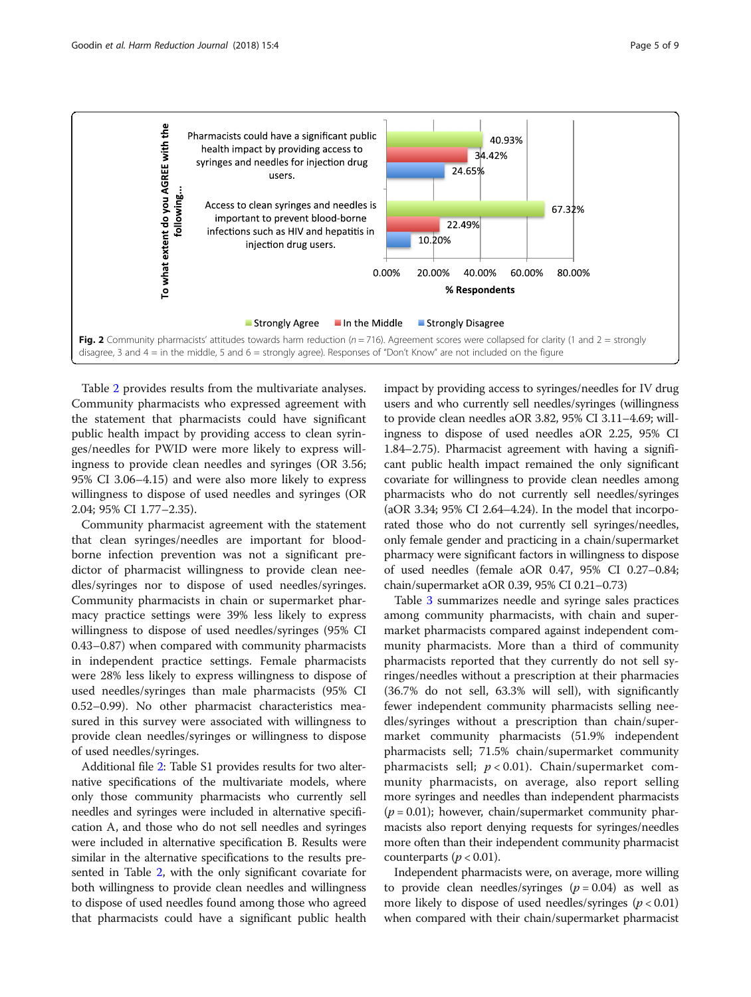<span id="page-4-0"></span>

Table [2](#page-5-0) provides results from the multivariate analyses. Community pharmacists who expressed agreement with the statement that pharmacists could have significant public health impact by providing access to clean syringes/needles for PWID were more likely to express willingness to provide clean needles and syringes (OR 3.56; 95% CI 3.06–4.15) and were also more likely to express willingness to dispose of used needles and syringes (OR 2.04; 95% CI 1.77–2.35).

Community pharmacist agreement with the statement that clean syringes/needles are important for bloodborne infection prevention was not a significant predictor of pharmacist willingness to provide clean needles/syringes nor to dispose of used needles/syringes. Community pharmacists in chain or supermarket pharmacy practice settings were 39% less likely to express willingness to dispose of used needles/syringes (95% CI 0.43–0.87) when compared with community pharmacists in independent practice settings. Female pharmacists were 28% less likely to express willingness to dispose of used needles/syringes than male pharmacists (95% CI 0.52–0.99). No other pharmacist characteristics measured in this survey were associated with willingness to provide clean needles/syringes or willingness to dispose of used needles/syringes.

Additional file [2:](#page-7-0) Table S1 provides results for two alternative specifications of the multivariate models, where only those community pharmacists who currently sell needles and syringes were included in alternative specification A, and those who do not sell needles and syringes were included in alternative specification B. Results were similar in the alternative specifications to the results presented in Table [2,](#page-5-0) with the only significant covariate for both willingness to provide clean needles and willingness to dispose of used needles found among those who agreed that pharmacists could have a significant public health impact by providing access to syringes/needles for IV drug users and who currently sell needles/syringes (willingness to provide clean needles aOR 3.82, 95% CI 3.11–4.69; willingness to dispose of used needles aOR 2.25, 95% CI 1.84–2.75). Pharmacist agreement with having a significant public health impact remained the only significant covariate for willingness to provide clean needles among pharmacists who do not currently sell needles/syringes (aOR 3.34; 95% CI 2.64–4.24). In the model that incorporated those who do not currently sell syringes/needles, only female gender and practicing in a chain/supermarket pharmacy were significant factors in willingness to dispose of used needles (female aOR 0.47, 95% CI 0.27–0.84; chain/supermarket aOR 0.39, 95% CI 0.21–0.73)

Table [3](#page-6-0) summarizes needle and syringe sales practices among community pharmacists, with chain and supermarket pharmacists compared against independent community pharmacists. More than a third of community pharmacists reported that they currently do not sell syringes/needles without a prescription at their pharmacies (36.7% do not sell, 63.3% will sell), with significantly fewer independent community pharmacists selling needles/syringes without a prescription than chain/supermarket community pharmacists (51.9% independent pharmacists sell; 71.5% chain/supermarket community pharmacists sell;  $p < 0.01$ ). Chain/supermarket community pharmacists, on average, also report selling more syringes and needles than independent pharmacists  $(p = 0.01)$ ; however, chain/supermarket community pharmacists also report denying requests for syringes/needles more often than their independent community pharmacist counterparts ( $p < 0.01$ ).

Independent pharmacists were, on average, more willing to provide clean needles/syringes  $(p = 0.04)$  as well as more likely to dispose of used needles/syringes ( $p < 0.01$ ) when compared with their chain/supermarket pharmacist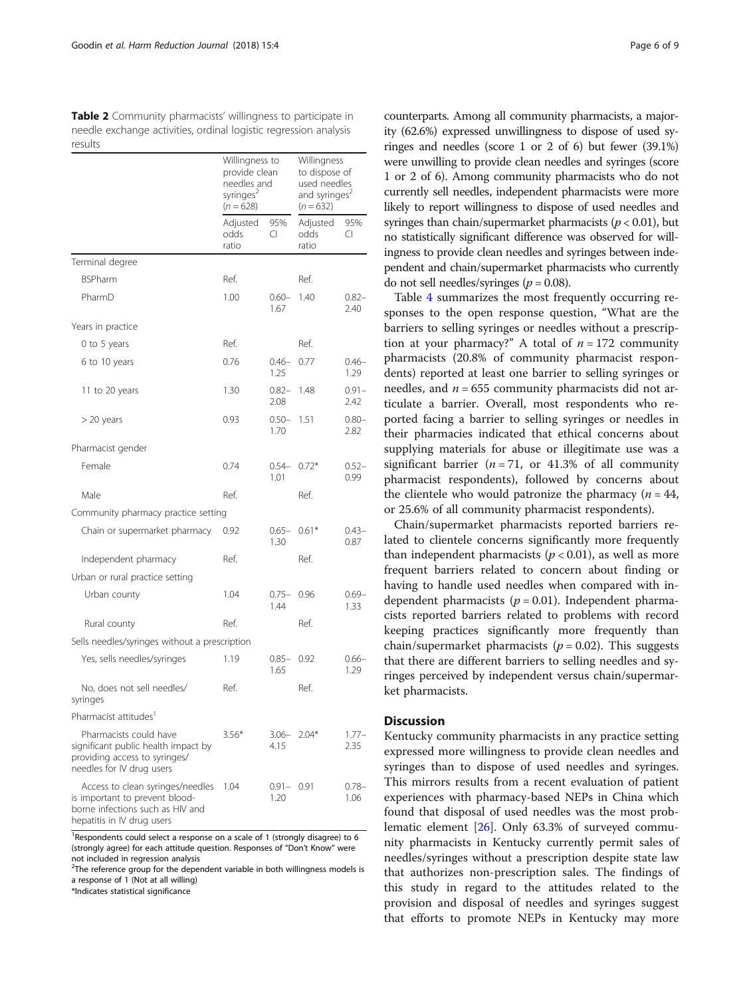<span id="page-5-0"></span>Table 2 Community pharmacists' willingness to participate in needle exchange activities, ordinal logistic regression analysis results

|                                                                                                                                      | Willingness to<br>provide clean<br>needles and<br>syringes <sup>2</sup><br>$(n = 628)$ |                       | Willingness<br>to dispose of<br>used needles<br>and syringes <sup>2</sup><br>$(n = 632)$ |                  |
|--------------------------------------------------------------------------------------------------------------------------------------|----------------------------------------------------------------------------------------|-----------------------|------------------------------------------------------------------------------------------|------------------|
|                                                                                                                                      | Adjusted<br>odds<br>ratio                                                              | 95%<br>CI             | Adjusted<br>odds<br>ratio                                                                | 95%<br>CI        |
| Terminal degree                                                                                                                      |                                                                                        |                       |                                                                                          |                  |
| <b>BSPharm</b>                                                                                                                       | Ref.                                                                                   |                       | Ref.                                                                                     |                  |
| PharmD                                                                                                                               | 1.00                                                                                   | $0.60 -$<br>1.67      | 1.40                                                                                     | $0.82 -$<br>2.40 |
| Years in practice                                                                                                                    |                                                                                        |                       |                                                                                          |                  |
| 0 to 5 years                                                                                                                         | Ref.                                                                                   |                       | Ref.                                                                                     |                  |
| 6 to 10 years                                                                                                                        | 0.76                                                                                   | $0.46 -$<br>1.25      | 0.77                                                                                     | $0.46 -$<br>1.29 |
| 11 to 20 years                                                                                                                       | 1.30                                                                                   | $0.82 -$<br>2.08      | 1.48                                                                                     | $0.91 -$<br>2.42 |
| $>$ 20 years                                                                                                                         | 0.93                                                                                   | $0.50 -$<br>1.70      | 1.51                                                                                     | $0.80 -$<br>2.82 |
| Pharmacist gender                                                                                                                    |                                                                                        |                       |                                                                                          |                  |
| Female                                                                                                                               | 0.74                                                                                   | $0.54 -$<br>1.01      | $0.72*$                                                                                  | $0.52 -$<br>0.99 |
| Male                                                                                                                                 | Ref.                                                                                   |                       | Ref.                                                                                     |                  |
| Community pharmacy practice setting                                                                                                  |                                                                                        |                       |                                                                                          |                  |
| Chain or supermarket pharmacy                                                                                                        | 0.92                                                                                   | $0.65 -$<br>1.30      | $0.61*$                                                                                  | $0.43 -$<br>0.87 |
| Independent pharmacy                                                                                                                 | Ref.                                                                                   |                       | Ref.                                                                                     |                  |
| Urban or rural practice setting                                                                                                      |                                                                                        |                       |                                                                                          |                  |
| Urban county                                                                                                                         | 1.04                                                                                   | $0.75 -$<br>1.44      | 0.96                                                                                     | $0.69 -$<br>1.33 |
| Rural county                                                                                                                         | Ref.                                                                                   |                       | Ref.                                                                                     |                  |
| Sells needles/syringes without a prescription                                                                                        |                                                                                        |                       |                                                                                          |                  |
| Yes, sells needles/syringes                                                                                                          | 1.19                                                                                   | $0.85 -$<br>1.65      | 0.92                                                                                     | $0.66-$<br>1.29  |
| No, does not sell needles/<br>syringes                                                                                               | Ref.                                                                                   |                       | Ref.                                                                                     |                  |
| Pharmacist attitudes'                                                                                                                |                                                                                        |                       |                                                                                          |                  |
| Pharmacists could have<br>significant public health impact by<br>providing access to syringes/<br>needles for IV drug users          | $3.56*$                                                                                | 4.15                  | $3.06 - 2.04*$                                                                           | $1.77-$<br>2.35  |
| Access to clean syringes/needles<br>is important to prevent blood-<br>borne infections such as HIV and<br>hepatitis in IV drug users | 1.04                                                                                   | $0.91 - 0.91$<br>1.20 |                                                                                          | $0.78 -$<br>1.06 |

<sup>1</sup>Respondents could select a response on a scale of 1 (strongly disagree) to 6 (strongly agree) for each attitude question. Responses of "Don't Know" were not included in regression analysis

 $2$ The reference group for the dependent variable in both willingness models is a response of 1 (Not at all willing)

\*Indicates statistical significance

counterparts. Among all community pharmacists, a majority (62.6%) expressed unwillingness to dispose of used syringes and needles (score 1 or 2 of 6) but fewer (39.1%) were unwilling to provide clean needles and syringes (score 1 or 2 of 6). Among community pharmacists who do not currently sell needles, independent pharmacists were more likely to report willingness to dispose of used needles and syringes than chain/supermarket pharmacists ( $p < 0.01$ ), but no statistically significant difference was observed for willingness to provide clean needles and syringes between independent and chain/supermarket pharmacists who currently do not sell needles/syringes ( $p = 0.08$ ).

Table [4](#page-7-0) summarizes the most frequently occurring responses to the open response question, "What are the barriers to selling syringes or needles without a prescription at your pharmacy?" A total of  $n = 172$  community pharmacists (20.8% of community pharmacist respondents) reported at least one barrier to selling syringes or needles, and  $n = 655$  community pharmacists did not articulate a barrier. Overall, most respondents who reported facing a barrier to selling syringes or needles in their pharmacies indicated that ethical concerns about supplying materials for abuse or illegitimate use was a significant barrier ( $n = 71$ , or 41.3% of all community pharmacist respondents), followed by concerns about the clientele who would patronize the pharmacy  $(n = 44,$ or 25.6% of all community pharmacist respondents).

Chain/supermarket pharmacists reported barriers related to clientele concerns significantly more frequently than independent pharmacists ( $p < 0.01$ ), as well as more frequent barriers related to concern about finding or having to handle used needles when compared with independent pharmacists ( $p = 0.01$ ). Independent pharmacists reported barriers related to problems with record keeping practices significantly more frequently than chain/supermarket pharmacists ( $p = 0.02$ ). This suggests that there are different barriers to selling needles and syringes perceived by independent versus chain/supermarket pharmacists.

#### **Discussion**

Kentucky community pharmacists in any practice setting expressed more willingness to provide clean needles and syringes than to dispose of used needles and syringes. This mirrors results from a recent evaluation of patient experiences with pharmacy-based NEPs in China which found that disposal of used needles was the most problematic element [[26\]](#page-8-0). Only 63.3% of surveyed community pharmacists in Kentucky currently permit sales of needles/syringes without a prescription despite state law that authorizes non-prescription sales. The findings of this study in regard to the attitudes related to the provision and disposal of needles and syringes suggest that efforts to promote NEPs in Kentucky may more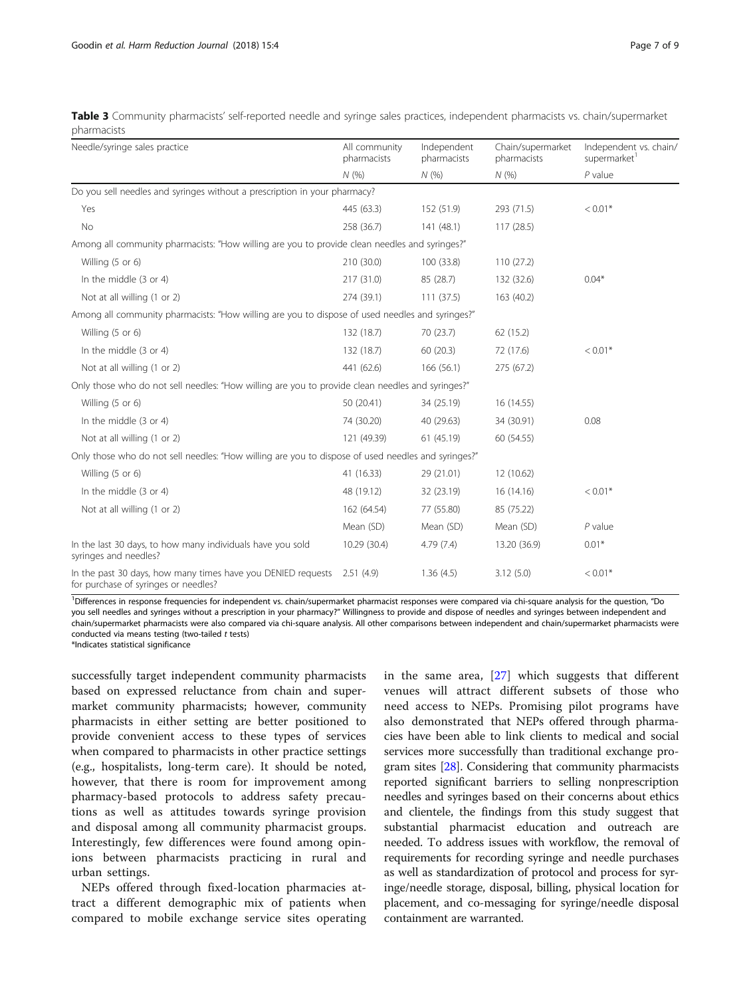<span id="page-6-0"></span>

| Table 3 Community pharmacists' self-reported needle and syringe sales practices, independent pharmacists vs. chain/supermarket |  |  |  |
|--------------------------------------------------------------------------------------------------------------------------------|--|--|--|
| pharmacists                                                                                                                    |  |  |  |

| Needle/syringe sales practice                                                                                   | All community<br>pharmacists | Independent<br>pharmacists | Chain/supermarket<br>pharmacists | Independent vs. chain/<br>supermarket <sup>1</sup> |
|-----------------------------------------------------------------------------------------------------------------|------------------------------|----------------------------|----------------------------------|----------------------------------------------------|
|                                                                                                                 | N(%                          | N(%                        | N(%)                             | $P$ value                                          |
| Do you sell needles and syringes without a prescription in your pharmacy?                                       |                              |                            |                                  |                                                    |
| Yes                                                                                                             | 445 (63.3)                   | 152 (51.9)                 | 293 (71.5)                       | $< 0.01*$                                          |
| No                                                                                                              | 258 (36.7)                   | 141(48.1)                  | 117 (28.5)                       |                                                    |
| Among all community pharmacists: "How willing are you to provide clean needles and syringes?"                   |                              |                            |                                  |                                                    |
| Willing (5 or 6)                                                                                                | 210 (30.0)                   | 100 (33.8)                 | 110(27.2)                        |                                                    |
| In the middle (3 or 4)                                                                                          | 217(31.0)                    | 85 (28.7)                  | 132 (32.6)                       | $0.04*$                                            |
| Not at all willing (1 or 2)                                                                                     | 274 (39.1)                   | 111(37.5)                  | 163(40.2)                        |                                                    |
| Among all community pharmacists: "How willing are you to dispose of used needles and syringes?"                 |                              |                            |                                  |                                                    |
| Willing (5 or 6)                                                                                                | 132 (18.7)                   | 70 (23.7)                  | 62 (15.2)                        |                                                    |
| In the middle (3 or 4)                                                                                          | 132 (18.7)                   | 60(20.3)                   | 72 (17.6)                        | $< 0.01*$                                          |
| Not at all willing (1 or 2)                                                                                     | 441 (62.6)                   | 166(56.1)                  | 275(67.2)                        |                                                    |
| Only those who do not sell needles: "How willing are you to provide clean needles and syringes?"                |                              |                            |                                  |                                                    |
| Willing (5 or 6)                                                                                                | 50 (20.41)                   | 34 (25.19)                 | 16 (14.55)                       |                                                    |
| In the middle (3 or 4)                                                                                          | 74 (30.20)                   | 40 (29.63)                 | 34 (30.91)                       | 0.08                                               |
| Not at all willing (1 or 2)                                                                                     | 121 (49.39)                  | 61 (45.19)                 | 60 (54.55)                       |                                                    |
| Only those who do not sell needles: "How willing are you to dispose of used needles and syringes?"              |                              |                            |                                  |                                                    |
| Willing (5 or 6)                                                                                                | 41 (16.33)                   | 29 (21.01)                 | 12 (10.62)                       |                                                    |
| In the middle (3 or 4)                                                                                          | 48 (19.12)                   | 32 (23.19)                 | 16 (14.16)                       | $< 0.01*$                                          |
| Not at all willing (1 or 2)                                                                                     | 162 (64.54)                  | 77 (55.80)                 | 85 (75.22)                       |                                                    |
|                                                                                                                 | Mean (SD)                    | Mean (SD)                  | Mean (SD)                        | $P$ value                                          |
| In the last 30 days, to how many individuals have you sold<br>syringes and needles?                             | 10.29 (30.4)                 | 4.79(7.4)                  | 13.20 (36.9)                     | $0.01*$                                            |
| In the past 30 days, how many times have you DENIED requests 2.51 (4.9)<br>for purchase of syringes or needles? |                              | 1.36(4.5)                  | 3.12(5.0)                        | $< 0.01*$                                          |

<sup>1</sup>Differences in response frequencies for independent vs. chain/supermarket pharmacist responses were compared via chi-square analysis for the question, "Do you sell needles and syringes without a prescription in your pharmacy?" Willingness to provide and dispose of needles and syringes between independent and chain/supermarket pharmacists were also compared via chi-square analysis. All other comparisons between independent and chain/supermarket pharmacists were conducted via means testing (two-tailed  $t$  tests)

\*Indicates statistical significance

successfully target independent community pharmacists based on expressed reluctance from chain and supermarket community pharmacists; however, community pharmacists in either setting are better positioned to provide convenient access to these types of services when compared to pharmacists in other practice settings (e.g., hospitalists, long-term care). It should be noted, however, that there is room for improvement among pharmacy-based protocols to address safety precautions as well as attitudes towards syringe provision and disposal among all community pharmacist groups. Interestingly, few differences were found among opinions between pharmacists practicing in rural and urban settings.

NEPs offered through fixed-location pharmacies attract a different demographic mix of patients when compared to mobile exchange service sites operating in the same area, [\[27](#page-8-0)] which suggests that different venues will attract different subsets of those who need access to NEPs. Promising pilot programs have also demonstrated that NEPs offered through pharmacies have been able to link clients to medical and social services more successfully than traditional exchange program sites [\[28\]](#page-8-0). Considering that community pharmacists reported significant barriers to selling nonprescription needles and syringes based on their concerns about ethics and clientele, the findings from this study suggest that substantial pharmacist education and outreach are needed. To address issues with workflow, the removal of requirements for recording syringe and needle purchases as well as standardization of protocol and process for syringe/needle storage, disposal, billing, physical location for placement, and co-messaging for syringe/needle disposal containment are warranted.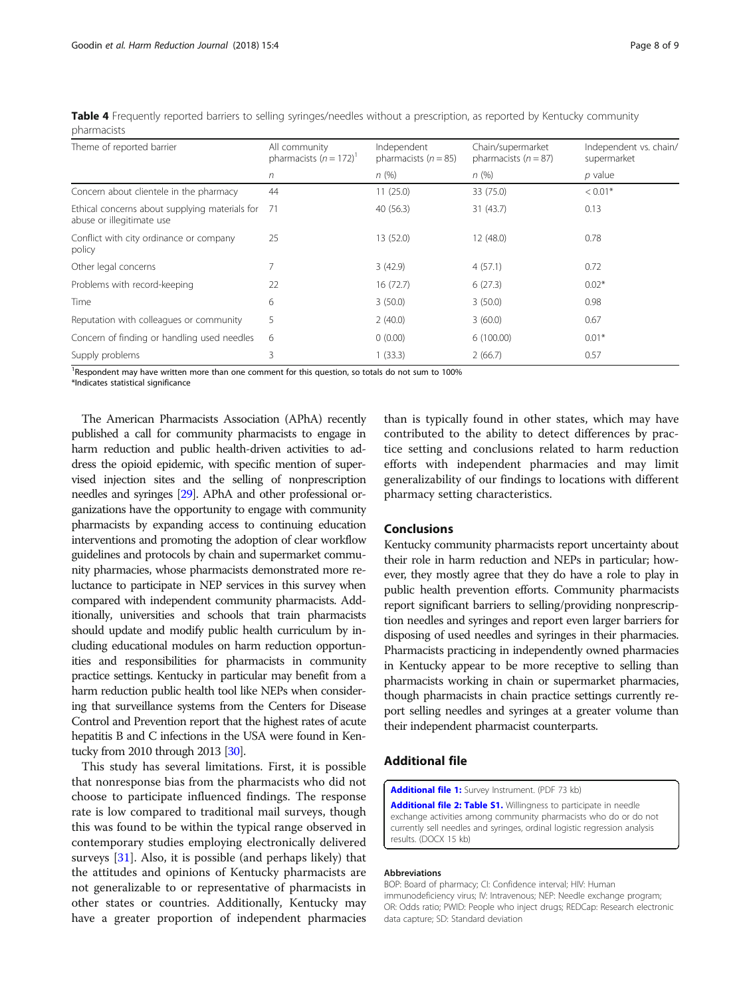| Theme of reported barrier                                                      | All community<br>pharmacists $(n = 172)^T$ | Independent<br>pharmacists ( $n = 85$ ) | Chain/supermarket<br>pharmacists $(n = 87)$ | Independent vs. chain/<br>supermarket<br>$p$ value |  |
|--------------------------------------------------------------------------------|--------------------------------------------|-----------------------------------------|---------------------------------------------|----------------------------------------------------|--|
|                                                                                | n                                          | n(%)                                    | n(%)                                        |                                                    |  |
| Concern about clientele in the pharmacy                                        | 44                                         | 11(25.0)                                | 33 (75.0)                                   | $< 0.01*$                                          |  |
| Ethical concerns about supplying materials for 71<br>abuse or illegitimate use |                                            | 40(56.3)                                | 31 (43.7)                                   | 0.13                                               |  |
| Conflict with city ordinance or company<br>policy                              | 25                                         | 13 (52.0)                               | 12(48.0)                                    | 0.78                                               |  |
| Other legal concerns                                                           | 7                                          | 3(42.9)                                 | 4(57.1)                                     | 0.72                                               |  |
| Problems with record-keeping                                                   | 22                                         | 16(72.7)                                | 6(27.3)                                     | $0.02*$                                            |  |
| Time                                                                           | 6                                          | 3(50.0)                                 | 3(50.0)                                     | 0.98                                               |  |
| Reputation with colleagues or community                                        | 5                                          | 2(40.0)                                 | 3(60.0)                                     | 0.67                                               |  |
| Concern of finding or handling used needles                                    | 6                                          | 0(0.00)                                 | 6(100.00)                                   | $0.01*$                                            |  |
| Supply problems                                                                | 3                                          | 1(33.3)                                 | 2(66.7)                                     | 0.57                                               |  |

<span id="page-7-0"></span>Table 4 Frequently reported barriers to selling syringes/needles without a prescription, as reported by Kentucky community pharmacists

<sup>1</sup>Respondent may have written more than one comment for this question, so totals do not sum to 100%

\*Indicates statistical significance

The American Pharmacists Association (APhA) recently published a call for community pharmacists to engage in harm reduction and public health-driven activities to address the opioid epidemic, with specific mention of supervised injection sites and the selling of nonprescription needles and syringes [\[29\]](#page-8-0). APhA and other professional organizations have the opportunity to engage with community pharmacists by expanding access to continuing education interventions and promoting the adoption of clear workflow guidelines and protocols by chain and supermarket community pharmacies, whose pharmacists demonstrated more reluctance to participate in NEP services in this survey when compared with independent community pharmacists. Additionally, universities and schools that train pharmacists should update and modify public health curriculum by including educational modules on harm reduction opportunities and responsibilities for pharmacists in community practice settings. Kentucky in particular may benefit from a harm reduction public health tool like NEPs when considering that surveillance systems from the Centers for Disease Control and Prevention report that the highest rates of acute hepatitis B and C infections in the USA were found in Kentucky from 2010 through 2013 [[30](#page-8-0)].

This study has several limitations. First, it is possible that nonresponse bias from the pharmacists who did not choose to participate influenced findings. The response rate is low compared to traditional mail surveys, though this was found to be within the typical range observed in contemporary studies employing electronically delivered surveys [\[31](#page-8-0)]. Also, it is possible (and perhaps likely) that the attitudes and opinions of Kentucky pharmacists are not generalizable to or representative of pharmacists in other states or countries. Additionally, Kentucky may have a greater proportion of independent pharmacies than is typically found in other states, which may have contributed to the ability to detect differences by practice setting and conclusions related to harm reduction efforts with independent pharmacies and may limit generalizability of our findings to locations with different pharmacy setting characteristics.

#### Conclusions

Kentucky community pharmacists report uncertainty about their role in harm reduction and NEPs in particular; however, they mostly agree that they do have a role to play in public health prevention efforts. Community pharmacists report significant barriers to selling/providing nonprescription needles and syringes and report even larger barriers for disposing of used needles and syringes in their pharmacies. Pharmacists practicing in independently owned pharmacies in Kentucky appear to be more receptive to selling than pharmacists working in chain or supermarket pharmacies, though pharmacists in chain practice settings currently report selling needles and syringes at a greater volume than their independent pharmacist counterparts.

#### Additional file

[Additional file 1:](dx.doi.org/10.1186/s12954-018-0211-4) Survey Instrument. (PDF 73 kb)

[Additional file 2: Table S1.](dx.doi.org/10.1186/s12954-018-0211-4) Willingness to participate in needle exchange activities among community pharmacists who do or do not currently sell needles and syringes, ordinal logistic regression analysis results. (DOCX 15 kb)

#### Abbreviations

BOP: Board of pharmacy; CI: Confidence interval; HIV: Human immunodeficiency virus; IV: Intravenous; NEP: Needle exchange program; OR: Odds ratio; PWID: People who inject drugs; REDCap: Research electronic data capture; SD: Standard deviation